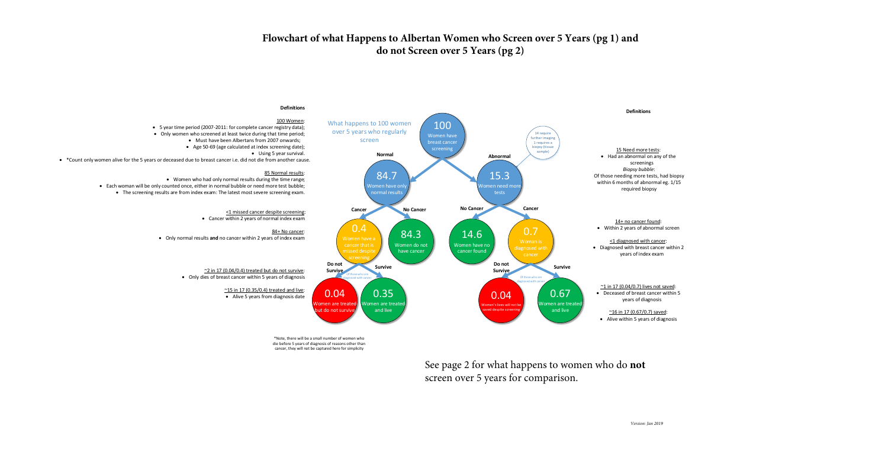Each woman will be only counted once, either in normal bubble or need more test bubble; • The screening results are from index exam: The latest most severe screening exam.

#### **Definitions**

#### 100 Women:

5 year time period (2007-2011: for complete cancer registry data);

- Only women who screened at least twice during that time period;
	- Must have been Albertans from 2007 onwards;
	- Age 50-69 (age calculated at index screening date);
		- Using 5 year survival.

• \*Count only women alive for the 5 years or deceased due to breast cancer i.e. did not die from another cause.

#### 85 Normal results:

Women who had only normal results during the time range;



<1 missed cancer despite screening: Cancer within 2 years of normal index exam

 $\sim$ 2 in 17 (0.04/0.4) treated but do not survive:

#### 84+ No cancer:

Only normal results **and** no cancer within 2 years of index exam

Only dies of breast cancer within 5 years of diagnosis

# ~15 in 17 (0.35/0.4) treated and live:

Alive 5 years from diagnosis date

\*Note, there will be a small number of women who die before 5 years of diagnosis of reasons other than cancer, they will not be captured here for simplicity

**Do not** 

See page 2 for what happens to women who do **not**  screen over 5 years for comparison.

# **Flowchart of what Happens to Albertan Women who Screen over 5 Years (pg 1) and do not Screen over 5 Years (pg 2)**